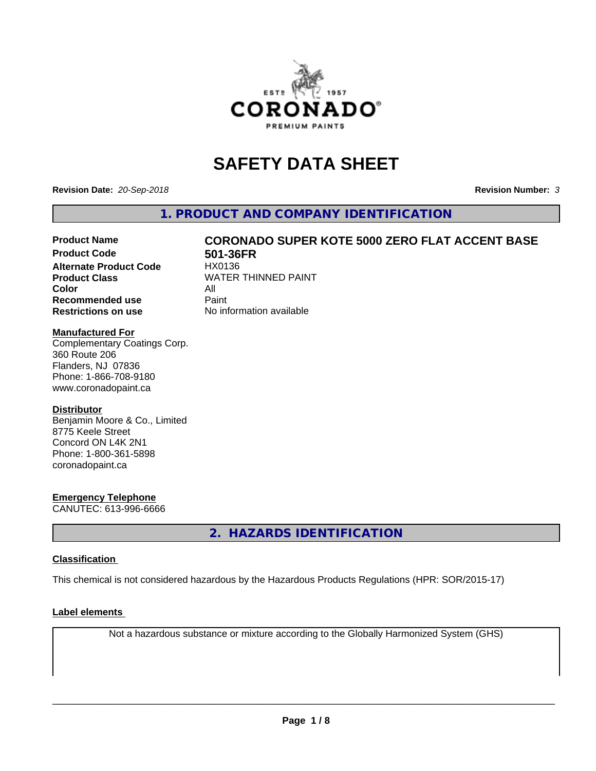

# **SAFETY DATA SHEET**

**Revision Date:** *20-Sep-2018* **Revision Number:** *3*

**1. PRODUCT AND COMPANY IDENTIFICATION**

# Product Name **CORONADO SUPER KOTE 5000 ZERO FLAT ACCENT BASE**<br>Product Code 501-36ER

**Alternate Product Code Color** All<br> **Recommended use** Paint **Recommended use Restrictions on use** No information available

**501-36FR**<br>HX0136 **Product Class WATER THINNED PAINT** 

### **Manufactured For**

Complementary Coatings Corp. 360 Route 206 Flanders, NJ 07836 Phone: 1-866-708-9180 www.coronadopaint.ca

#### **Distributor**

Benjamin Moore & Co., Limited 8775 Keele Street Concord ON L4K 2N1 Phone: 1-800-361-5898 coronadopaint.ca

# **Emergency Telephone**

CANUTEC: 613-996-6666

**2. HAZARDS IDENTIFICATION**

#### **Classification**

This chemical is not considered hazardous by the Hazardous Products Regulations (HPR: SOR/2015-17)

#### **Label elements**

Not a hazardous substance or mixture according to the Globally Harmonized System (GHS)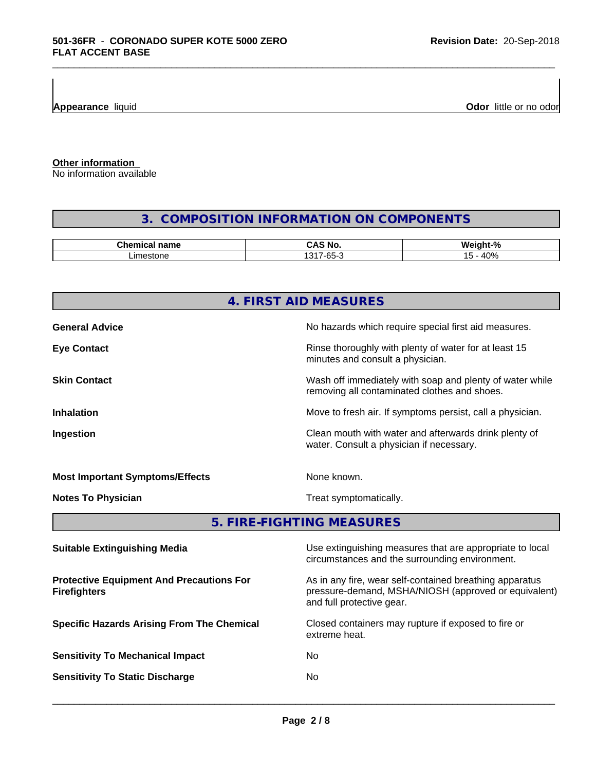**Appearance** liquid **Odor 11** Odor little or no odor

**Other information**

No information available

# **3. COMPOSITION INFORMATION ON COMPONENTS**

\_\_\_\_\_\_\_\_\_\_\_\_\_\_\_\_\_\_\_\_\_\_\_\_\_\_\_\_\_\_\_\_\_\_\_\_\_\_\_\_\_\_\_\_\_\_\_\_\_\_\_\_\_\_\_\_\_\_\_\_\_\_\_\_\_\_\_\_\_\_\_\_\_\_\_\_\_\_\_\_\_\_\_\_\_\_\_\_\_\_\_\_\_

| .^hem⊾<br>name<br>янкан   | ^<br>N.<br>.                                                  | $\mathbf{r}$<br>.<br>мı.<br>$\sqrt{2}$ |
|---------------------------|---------------------------------------------------------------|----------------------------------------|
| ma <sub>0</sub><br>stone. | $\sqrt{21}$<br>$\sim$ $\sim$<br>$\overline{\phantom{a}}$<br>ึ | $- A \Omega$ <sup>n</sup><br>ີບ /      |

|                                                                        | 4. FIRST AID MEASURES                                                                                                                        |  |
|------------------------------------------------------------------------|----------------------------------------------------------------------------------------------------------------------------------------------|--|
| <b>General Advice</b>                                                  | No hazards which require special first aid measures.                                                                                         |  |
| <b>Eye Contact</b>                                                     | Rinse thoroughly with plenty of water for at least 15<br>minutes and consult a physician.                                                    |  |
| <b>Skin Contact</b>                                                    | Wash off immediately with soap and plenty of water while<br>removing all contaminated clothes and shoes.                                     |  |
| <b>Inhalation</b>                                                      | Move to fresh air. If symptoms persist, call a physician.                                                                                    |  |
| Ingestion                                                              | Clean mouth with water and afterwards drink plenty of<br>water. Consult a physician if necessary.                                            |  |
| <b>Most Important Symptoms/Effects</b>                                 | None known.                                                                                                                                  |  |
| <b>Notes To Physician</b>                                              | Treat symptomatically.                                                                                                                       |  |
|                                                                        | 5. FIRE-FIGHTING MEASURES                                                                                                                    |  |
| <b>Suitable Extinguishing Media</b>                                    | Use extinguishing measures that are appropriate to local<br>circumstances and the surrounding environment.                                   |  |
| <b>Protective Equipment And Precautions For</b><br><b>Firefighters</b> | As in any fire, wear self-contained breathing apparatus<br>pressure-demand, MSHA/NIOSH (approved or equivalent)<br>and full protective gear. |  |
| <b>Specific Hazards Arising From The Chemical</b>                      | Closed containers may rupture if exposed to fire or<br>extreme heat.                                                                         |  |
| <b>Sensitivity To Mechanical Impact</b>                                | No                                                                                                                                           |  |
|                                                                        |                                                                                                                                              |  |

 $\overline{\phantom{a}}$  ,  $\overline{\phantom{a}}$  ,  $\overline{\phantom{a}}$  ,  $\overline{\phantom{a}}$  ,  $\overline{\phantom{a}}$  ,  $\overline{\phantom{a}}$  ,  $\overline{\phantom{a}}$  ,  $\overline{\phantom{a}}$  ,  $\overline{\phantom{a}}$  ,  $\overline{\phantom{a}}$  ,  $\overline{\phantom{a}}$  ,  $\overline{\phantom{a}}$  ,  $\overline{\phantom{a}}$  ,  $\overline{\phantom{a}}$  ,  $\overline{\phantom{a}}$  ,  $\overline{\phantom{a}}$ 

**Sensitivity To Static Discharge** No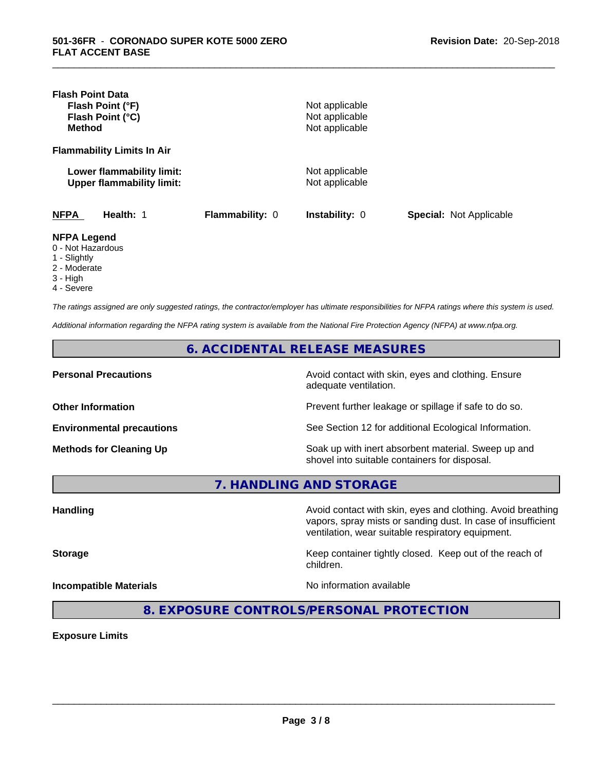| <b>Flash Point Data</b><br>Flash Point (°F)<br>Flash Point (°C)<br><b>Method</b> |                 | Not applicable<br>Not applicable<br>Not applicable |                                |
|----------------------------------------------------------------------------------|-----------------|----------------------------------------------------|--------------------------------|
| <b>Flammability Limits In Air</b>                                                |                 |                                                    |                                |
| Lower flammability limit:<br><b>Upper flammability limit:</b>                    |                 | Not applicable<br>Not applicable                   |                                |
| <b>NFPA</b><br>Health: 1                                                         | Flammability: 0 | Instability: 0                                     | <b>Special: Not Applicable</b> |
| <b>NFPA Legend</b><br>0 - Not Hazardous<br>1 - Slightly<br>2 - Moderate          |                 |                                                    |                                |

\_\_\_\_\_\_\_\_\_\_\_\_\_\_\_\_\_\_\_\_\_\_\_\_\_\_\_\_\_\_\_\_\_\_\_\_\_\_\_\_\_\_\_\_\_\_\_\_\_\_\_\_\_\_\_\_\_\_\_\_\_\_\_\_\_\_\_\_\_\_\_\_\_\_\_\_\_\_\_\_\_\_\_\_\_\_\_\_\_\_\_\_\_

- 3 High
- 4 Severe

*The ratings assigned are only suggested ratings, the contractor/employer has ultimate responsibilities for NFPA ratings where this system is used.*

*Additional information regarding the NFPA rating system is available from the National Fire Protection Agency (NFPA) at www.nfpa.org.*

#### **6. ACCIDENTAL RELEASE MEASURES**

**Personal Precautions Precautions** Avoid contact with skin, eyes and clothing. Ensure adequate ventilation.

**Other Information Other Information Prevent further leakage or spillage if safe to do so.** 

**Environmental precautions** See Section 12 for additional Ecological Information.

**Methods for Cleaning Up Soak up with inert absorbent material. Sweep up and** shovel into suitable containers for disposal.

vapors, spray mists or sanding dust. In case of insufficient

ventilation, wear suitable respiratory equipment.

**7. HANDLING AND STORAGE**

Handling **Handling Avoid contact with skin, eyes and clothing. Avoid breathing Handling** 

**Storage Keep container tightly closed. Keep out of the reach of Keep** container tightly closed. Keep out of the reach of

**Incompatible Materials No information available** 

 $\overline{\phantom{a}}$  ,  $\overline{\phantom{a}}$  ,  $\overline{\phantom{a}}$  ,  $\overline{\phantom{a}}$  ,  $\overline{\phantom{a}}$  ,  $\overline{\phantom{a}}$  ,  $\overline{\phantom{a}}$  ,  $\overline{\phantom{a}}$  ,  $\overline{\phantom{a}}$  ,  $\overline{\phantom{a}}$  ,  $\overline{\phantom{a}}$  ,  $\overline{\phantom{a}}$  ,  $\overline{\phantom{a}}$  ,  $\overline{\phantom{a}}$  ,  $\overline{\phantom{a}}$  ,  $\overline{\phantom{a}}$ 

**8. EXPOSURE CONTROLS/PERSONAL PROTECTION**

children.

**Exposure Limits**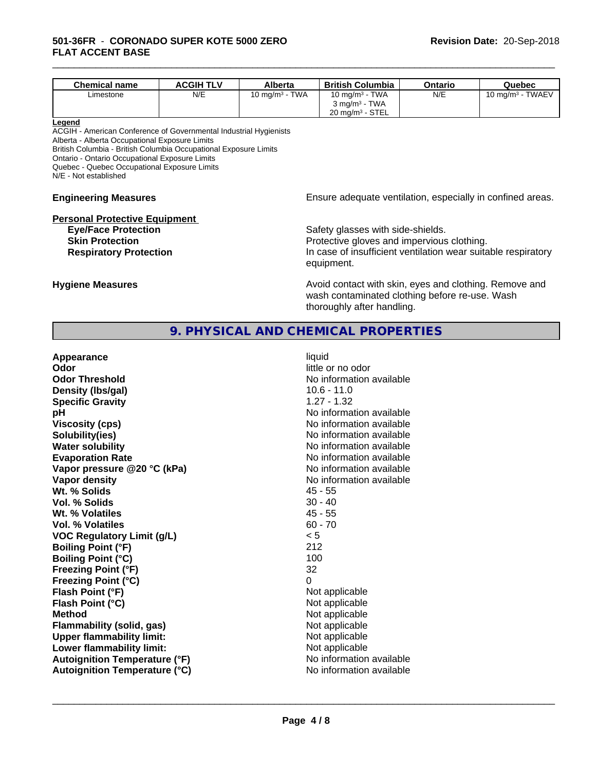| <b>Chemical name</b> | <b>ACGIH TLV</b> | Alberta                              | <b>British Columbia</b>    | Ontario | Quebec                         |
|----------------------|------------------|--------------------------------------|----------------------------|---------|--------------------------------|
| ∟imestone            | N/E              | <b>TWA</b><br>10 mg/m <sup>3</sup> - | <b>TWA</b><br>10 ma/m $^3$ | N/E     | <b>TWAEV</b><br>10 mg/m $^3$ - |
|                      |                  |                                      | $3 \text{ mg/m}^3$ - TWA   |         |                                |
|                      |                  |                                      | $20 \text{ mg/m}^3$ - STEL |         |                                |

\_\_\_\_\_\_\_\_\_\_\_\_\_\_\_\_\_\_\_\_\_\_\_\_\_\_\_\_\_\_\_\_\_\_\_\_\_\_\_\_\_\_\_\_\_\_\_\_\_\_\_\_\_\_\_\_\_\_\_\_\_\_\_\_\_\_\_\_\_\_\_\_\_\_\_\_\_\_\_\_\_\_\_\_\_\_\_\_\_\_\_\_\_

#### **Legend**

ACGIH - American Conference of Governmental Industrial Hygienists Alberta - Alberta Occupational Exposure Limits

British Columbia - British Columbia Occupational Exposure Limits

Ontario - Ontario Occupational Exposure Limits

Quebec - Quebec Occupational Exposure Limits

N/E - Not established

# **Personal Protective Equipment**

**Engineering Measures Ensure** Ensure adequate ventilation, especially in confined areas.

**Eye/Face Protection Safety glasses with side-shields. Skin Protection Protection Protective gloves and impervious clothing. Respiratory Protection In case of insufficient ventilation wear suitable respiratory** equipment.

**Hygiene Measures Avoid contact with skin, eyes and clothing. Remove and Avoid contact with skin, eyes and clothing. Remove and Avoid contact with skin, eyes and clothing. Remove and** wash contaminated clothing before re-use. Wash thoroughly after handling.

# **9. PHYSICAL AND CHEMICAL PROPERTIES**

| Appearance                           | liquid                   |
|--------------------------------------|--------------------------|
| Odor                                 | little or no odor        |
| <b>Odor Threshold</b>                | No information available |
| Density (Ibs/gal)                    | $10.6 - 11.0$            |
| <b>Specific Gravity</b>              | $1.27 - 1.32$            |
| рH                                   | No information available |
| <b>Viscosity (cps)</b>               | No information available |
| Solubility(ies)                      | No information available |
| <b>Water solubility</b>              | No information available |
| <b>Evaporation Rate</b>              | No information available |
| Vapor pressure @20 °C (kPa)          | No information available |
| <b>Vapor density</b>                 | No information available |
| Wt. % Solids                         | $45 - 55$                |
| Vol. % Solids                        | $30 - 40$                |
| Wt. % Volatiles                      | $45 - 55$                |
| Vol. % Volatiles                     | $60 - 70$                |
| <b>VOC Regulatory Limit (g/L)</b>    | < 5                      |
| <b>Boiling Point (°F)</b>            | 212                      |
| <b>Boiling Point (°C)</b>            | 100                      |
| <b>Freezing Point (°F)</b>           | 32                       |
| <b>Freezing Point (°C)</b>           | 0                        |
| Flash Point (°F)                     | Not applicable           |
| Flash Point (°C)                     | Not applicable           |
| <b>Method</b>                        | Not applicable           |
| <b>Flammability (solid, gas)</b>     | Not applicable           |
| <b>Upper flammability limit:</b>     | Not applicable           |
| Lower flammability limit:            | Not applicable           |
| <b>Autoignition Temperature (°F)</b> | No information available |
| <b>Autoignition Temperature (°C)</b> | No information available |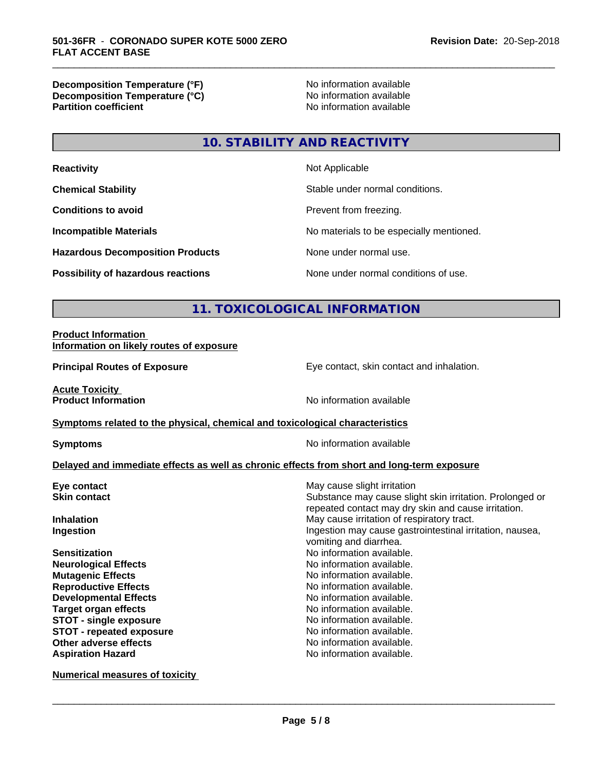**Decomposition Temperature (°F)**<br> **Decomposition Temperature (°C)** No information available **Decomposition Temperature (°C)**<br>Partition coefficient

**No information available** 

\_\_\_\_\_\_\_\_\_\_\_\_\_\_\_\_\_\_\_\_\_\_\_\_\_\_\_\_\_\_\_\_\_\_\_\_\_\_\_\_\_\_\_\_\_\_\_\_\_\_\_\_\_\_\_\_\_\_\_\_\_\_\_\_\_\_\_\_\_\_\_\_\_\_\_\_\_\_\_\_\_\_\_\_\_\_\_\_\_\_\_\_\_

# **10. STABILITY AND REACTIVITY**

| <b>Reactivity</b>                         | Not Applicable                           |
|-------------------------------------------|------------------------------------------|
| <b>Chemical Stability</b>                 | Stable under normal conditions.          |
| <b>Conditions to avoid</b>                | Prevent from freezing.                   |
| <b>Incompatible Materials</b>             | No materials to be especially mentioned. |
| <b>Hazardous Decomposition Products</b>   | None under normal use.                   |
| <b>Possibility of hazardous reactions</b> | None under normal conditions of use.     |

# **11. TOXICOLOGICAL INFORMATION**

#### **Product Information Information on likely routes of exposure**

**Principal Routes of Exposure Exposure** Eye contact, skin contact and inhalation.

**Acute Toxicity<br>Product Information** 

## **Symptoms related to the physical, chemical and toxicological characteristics**

**Symptoms** No information available

**No information available** 

### **Delayed and immediate effects as well as chronic effects from short and long-term exposure**

| Eye contact                   | May cause slight irritation                              |
|-------------------------------|----------------------------------------------------------|
| <b>Skin contact</b>           | Substance may cause slight skin irritation. Prolonged or |
|                               | repeated contact may dry skin and cause irritation.      |
| <b>Inhalation</b>             | May cause irritation of respiratory tract.               |
| Ingestion                     | Ingestion may cause gastrointestinal irritation, nausea, |
|                               | vomiting and diarrhea.                                   |
| <b>Sensitization</b>          | No information available.                                |
| <b>Neurological Effects</b>   | No information available.                                |
| <b>Mutagenic Effects</b>      | No information available.                                |
| <b>Reproductive Effects</b>   | No information available.                                |
| <b>Developmental Effects</b>  | No information available.                                |
| <b>Target organ effects</b>   | No information available.                                |
| <b>STOT - single exposure</b> | No information available.                                |
| STOT - repeated exposure      | No information available.                                |
| Other adverse effects         | No information available.                                |
| <b>Aspiration Hazard</b>      | No information available.                                |
|                               |                                                          |

**Numerical measures of toxicity**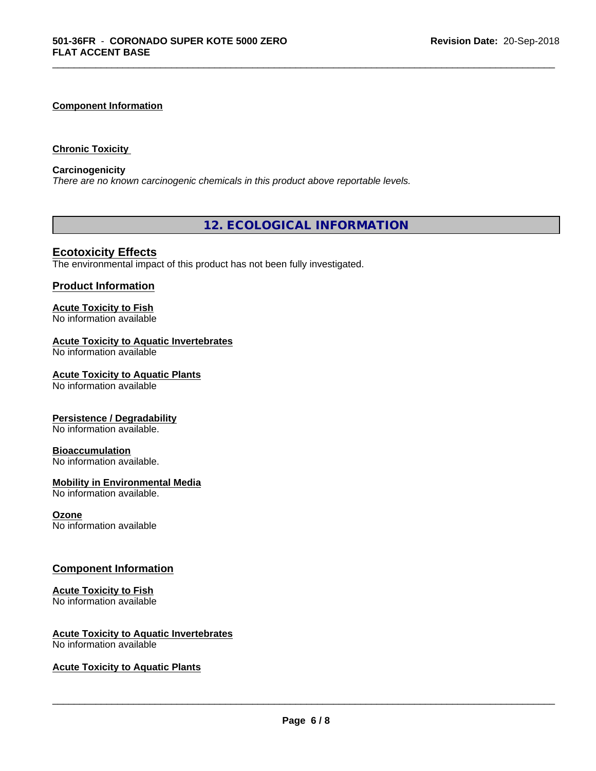#### **Component Information**

#### **Chronic Toxicity**

#### **Carcinogenicity**

*There are no known carcinogenic chemicals in this product above reportable levels.*

**12. ECOLOGICAL INFORMATION**

\_\_\_\_\_\_\_\_\_\_\_\_\_\_\_\_\_\_\_\_\_\_\_\_\_\_\_\_\_\_\_\_\_\_\_\_\_\_\_\_\_\_\_\_\_\_\_\_\_\_\_\_\_\_\_\_\_\_\_\_\_\_\_\_\_\_\_\_\_\_\_\_\_\_\_\_\_\_\_\_\_\_\_\_\_\_\_\_\_\_\_\_\_

# **Ecotoxicity Effects**

The environmental impact of this product has not been fully investigated.

## **Product Information**

#### **Acute Toxicity to Fish** No information available

#### **Acute Toxicity to Aquatic Invertebrates**

No information available

#### **Acute Toxicity to Aquatic Plants**

No information available

#### **Persistence / Degradability**

No information available.

#### **Bioaccumulation**

No information available.

#### **Mobility in Environmental Media**

No information available.

#### **Ozone**

No information available

#### **Component Information**

#### **Acute Toxicity to Fish**

No information available

# **Acute Toxicity to Aquatic Invertebrates**

No information available

### **Acute Toxicity to Aquatic Plants**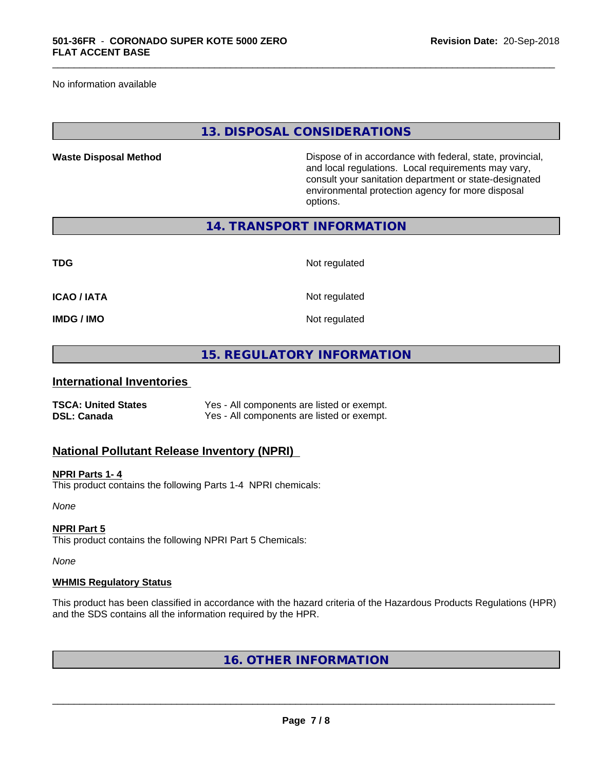No information available

## **13. DISPOSAL CONSIDERATIONS**

\_\_\_\_\_\_\_\_\_\_\_\_\_\_\_\_\_\_\_\_\_\_\_\_\_\_\_\_\_\_\_\_\_\_\_\_\_\_\_\_\_\_\_\_\_\_\_\_\_\_\_\_\_\_\_\_\_\_\_\_\_\_\_\_\_\_\_\_\_\_\_\_\_\_\_\_\_\_\_\_\_\_\_\_\_\_\_\_\_\_\_\_\_

**Waste Disposal Method** Dispose of in accordance with federal, state, provincial, and local regulations. Local requirements may vary, consult your sanitation department or state-designated environmental protection agency for more disposal options.

**14. TRANSPORT INFORMATION**

| <b>TDG</b>         | Not regulated |
|--------------------|---------------|
| <b>ICAO / IATA</b> | Not regulated |
| <b>IMDG / IMO</b>  | Not regulated |

# **15. REGULATORY INFORMATION**

# **International Inventories**

| <b>TSCA: United States</b> | Yes - All components are listed or exempt. |
|----------------------------|--------------------------------------------|
| <b>DSL: Canada</b>         | Yes - All components are listed or exempt. |

# **National Pollutant Release Inventory (NPRI)**

# **NPRI Parts 1- 4**

This product contains the following Parts 1-4 NPRI chemicals:

*None*

#### **NPRI Part 5**

This product contains the following NPRI Part 5 Chemicals:

*None*

#### **WHMIS Regulatory Status**

This product has been classified in accordance with the hazard criteria of the Hazardous Products Regulations (HPR) and the SDS contains all the information required by the HPR.

**16. OTHER INFORMATION**